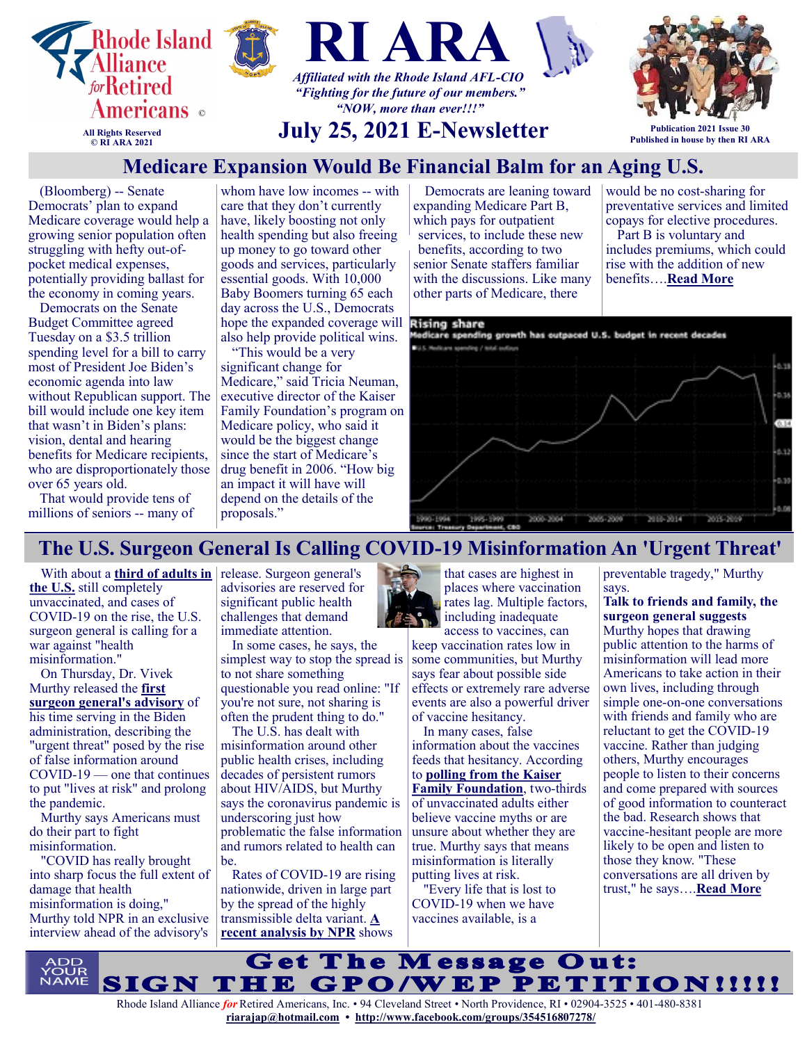

# **Medicare Expansion Would Be Financial Balm for an Aging U.S.**

(Bloomberg) -- Senate Democrats' plan to expand Medicare coverage would help a growing senior population often struggling with hefty out-ofpocket medical expenses, potentially providing ballast for the economy in coming years.

Democrats on the Senate Budget Committee agreed Tuesday on a \$3.5 trillion spending level for a bill to carry most of President Joe Biden's economic agenda into law without Republican support. The bill would include one key item that wasn't in Biden's plans: vision, dental and hearing benefits for Medicare recipients, who are disproportionately those over 65 years old.

That would provide tens of millions of seniors -- many of whom have low incomes -- with care that they don't currently have, likely boosting not only health spending but also freeing up money to go toward other goods and services, particularly essential goods. With 10,000 Baby Boomers turning 65 each day across the U.S., Democrats hope the expanded coverage will **Elsing share** also help provide political wins.

"This would be a very significant change for Medicare," said Tricia Neuman, executive director of the Kaiser Family Foundation's program on Medicare policy, who said it would be the biggest change since the start of Medicare's drug benefit in 2006. "How big an impact it will have will depend on the details of the proposals."

Democrats are leaning toward expanding Medicare Part B, which pays for outpatient services, to include these new benefits, according to two senior Senate staffers familiar with the discussions. Like many other parts of Medicare, there

would be no cost-sharing for preventative services and limited copays for elective procedures.

Part B is voluntary and includes premiums, which could rise with the addition of new benefits….**[Read More](https://www.msn.com/en-us/money/markets/medicare-expansion-would-be-financial-balm-for-an-aging-us/ar-AAMbpgo?ocid=SK2DDHP&li=BBnb7Kz)**



# **The U.S. Surgeon General Is Calling COVID-19 Misinformation An 'Urgent Threat'**

**[the U.S.](https://covid.cdc.gov/covid-data-tracker/#vaccinations)** still completely unvaccinated, and cases of COVID-19 on the rise, the U.S. surgeon general is calling for a war against "health misinformation."

On Thursday, Dr. Vivek Murthy released the **[first](https://www.hhs.gov/sites/default/files/surgeon-general-misinformation-advisory.pdf)  [surgeon general's advisory](https://www.hhs.gov/sites/default/files/surgeon-general-misinformation-advisory.pdf)** of his time serving in the Biden administration, describing the "urgent threat" posed by the rise of false information around COVID-19 — one that continues to put "lives at risk" and prolong the pandemic.

Murthy says Americans must do their part to fight misinformation.

"COVID has really brought into sharp focus the full extent of damage that health misinformation is doing," Murthy told NPR in an exclusive interview ahead of the advisory's

With about a **third of adults in** release. Surgeon general's advisories are reserved for significant public health challenges that demand immediate attention.

> In some cases, he says, the simplest way to stop the spread is to not share something questionable you read online: "If you're not sure, not sharing is often the prudent thing to do."

The U.S. has dealt with misinformation around other public health crises, including decades of persistent rumors about HIV/AIDS, but Murthy says the coronavirus pandemic is underscoring just how problematic the false information and rumors related to health can be.

Rates of COVID-19 are rising nationwide, driven in large part by the spread of the highly transmissible delta variant. **[A](https://www.npr.org/sections/health-shots/2021/07/09/1014512213/covid-is-surging-in-new-hotspots-driven-by-low-vaccination-rates)  [recent analysis by NPR](https://www.npr.org/sections/health-shots/2021/07/09/1014512213/covid-is-surging-in-new-hotspots-driven-by-low-vaccination-rates)** shows



that cases are highest in places where vaccination rates lag. Multiple factors, including inadequate access to vaccines, can

keep vaccination rates low in some communities, but Murthy says fear about possible side effects or extremely rare adverse events are also a powerful driver of vaccine hesitancy.

In many cases, false information about the vaccines feeds that hesitancy. According to **[polling from the Kaiser](https://www.kff.org/coronavirus-covid-19/perspective/persistent-vaccine-myths/)  [Family Foundation](https://www.kff.org/coronavirus-covid-19/perspective/persistent-vaccine-myths/)**, two-thirds of unvaccinated adults either believe vaccine myths or are unsure about whether they are true. Murthy says that means misinformation is literally putting lives at risk.

"Every life that is lost to COVID-19 when we have vaccines available, is a

preventable tragedy," Murthy says.

**Talk to friends and family, the surgeon general suggests** Murthy hopes that drawing public attention to the harms of misinformation will lead more Americans to take action in their own lives, including through simple one-on-one conversations with friends and family who are reluctant to get the COVID-19 vaccine. Rather than judging others, Murthy encourages people to listen to their concerns and come prepared with sources of good information to counteract the bad. Research shows that vaccine-hesitant people are more likely to be open and listen to those they know. "These conversations are all driven by trust," he says….**[Read More](https://www.npr.org/sections/health-shots/2021/07/15/1016013826/the-u-s-surgeon-general-is-calling-covid-19-misinformation-an-urgent-threat)**

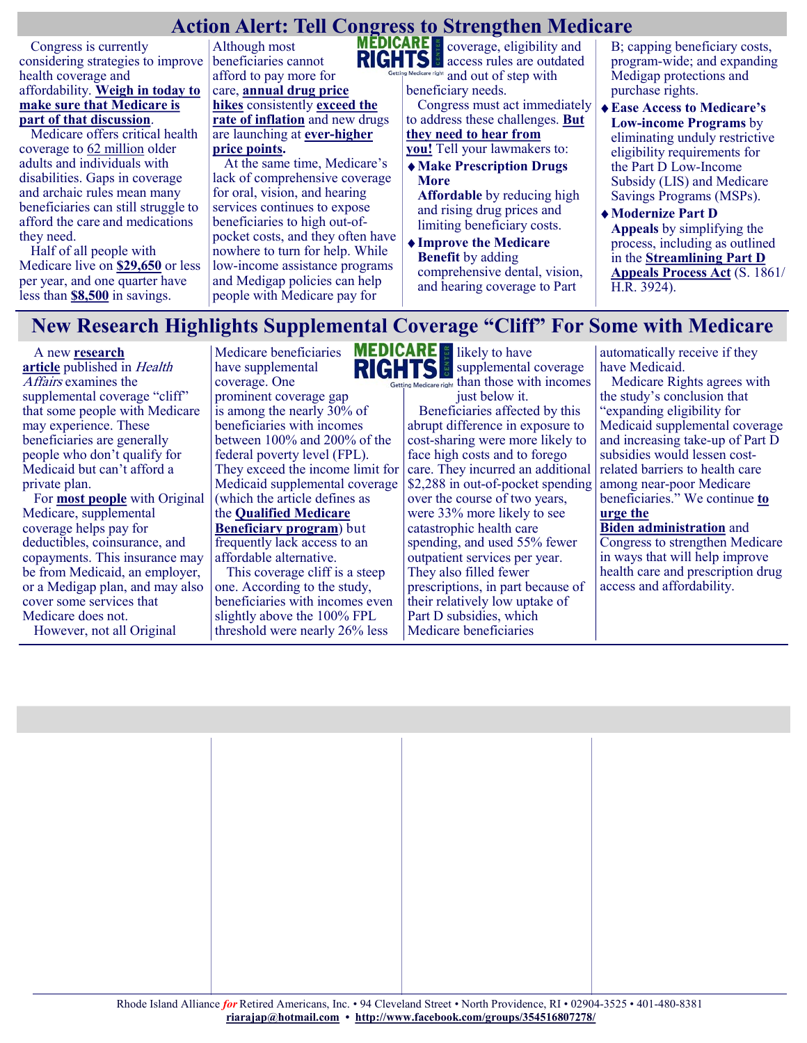# **Action Alert: Tell Congress to Strengthen Medicare**

Congress is currently considering strategies to improve health coverage and affordability. **[Weigh in today to](https://actionnetwork.org/letters/act-today-tell-congress-to-strengthen-medicare/)  [make sure that Medicare is](https://actionnetwork.org/letters/act-today-tell-congress-to-strengthen-medicare/)  [part of that discussion](https://actionnetwork.org/letters/act-today-tell-congress-to-strengthen-medicare/)**.

Medicare offers critical health coverage to [62 million](https://www.cms.gov/research-statistics-data-systems/cms-fast-facts/cms-fast-facts-mobile-site) older adults and individuals with disabilities. Gaps in coverage and archaic rules mean many beneficiaries can still struggle to afford the care and medications they need.

Half of all people with Medicare live on **[\\$29,650](https://www.kff.org/medicare/issue-brief/medicare-beneficiaries-financial-security-before-the-coronavirus-pandemic/)** or less per year, and one quarter have less than **[\\$8,500](https://www.kff.org/medicare/issue-brief/medicare-beneficiaries-financial-security-before-the-coronavirus-pandemic/)** in savings.

Although most beneficiaries cannot afford to pay more for care, **[annual drug price](https://www.aarp.org/ppi/info-2019/trends-in-retail-prices-of-drugs.html)  [hikes](https://www.aarp.org/ppi/info-2019/trends-in-retail-prices-of-drugs.html)** consistently **[exceed the](https://www.kff.org/medicare/issue-brief/price-increases-continue-to-outpace-inflation-for-many-medicare-part-d-drugs/)  [rate of inflation](https://www.kff.org/medicare/issue-brief/price-increases-continue-to-outpace-inflation-for-many-medicare-part-d-drugs/)** and new drugs are launching at **ever-[higher](https://www.axios.com/drug-prices-launch-brand-generic-4f40d7e7-37fa-4d0d-bc98-64cc71e531e1.html)  [price points.](https://www.axios.com/drug-prices-launch-brand-generic-4f40d7e7-37fa-4d0d-bc98-64cc71e531e1.html)**

At the same time, Medicare's lack of comprehensive coverage for oral, vision, and hearing services continues to expose beneficiaries to high out-ofpocket costs, and they often have nowhere to turn for help. While low-income assistance programs and Medigap policies can help people with Medicare pay for



**MEDICARE** coverage, eligibility and **RIGHTS** access rules are outdated care right and out of step with

beneficiary needs. Congress must act immediately to address these challenges. **[But](https://actionnetwork.org/letters/act-today-tell-congress-to-strengthen-medicare/)  [they need to hear from](https://actionnetwork.org/letters/act-today-tell-congress-to-strengthen-medicare/)  [you!](https://actionnetwork.org/letters/act-today-tell-congress-to-strengthen-medicare/)** Tell your lawmakers to:

**Make Prescription Drugs More** 

**Affordable** by reducing high and rising drug prices and limiting beneficiary costs.

**Improve the Medicare Benefit** by adding comprehensive dental, vision, and hearing coverage to Part

B; capping beneficiary costs, program-wide; and expanding Medigap protections and purchase rights.

- **Ease Access to Medicare's Low-income Programs** by eliminating unduly restrictive eligibility requirements for the Part D Low-Income Subsidy (LIS) and Medicare Savings Programs (MSPs).
- **Modernize Part D Appeals** by simplifying the process, including as outlined in the **[Streamlining Part D](https://www.medicarerights.org/pdf/s.1861-hr.3924-fact-sheet.pdf)  [Appeals Process Act](https://www.medicarerights.org/pdf/s.1861-hr.3924-fact-sheet.pdf)** (S. 1861/ H.R. 3924).

## **New Research Highlights Supplemental Coverage "Cliff" For Some with Medicare**

A new **[research](https://www.healthaffairs.org/doi/full/10.1377/hlthaff.2020.02272)  [article](https://www.healthaffairs.org/doi/full/10.1377/hlthaff.2020.02272)** published in Health Affairs examines the supplemental coverage "cliff" that some people with Medicare may experience. These beneficiaries are generally people who don't qualify for Medicaid but can't afford a private plan.

For **[most people](https://www.kff.org/medicare/issue-brief/sources-of-supplemental-coverage-among-medicare-beneficiaries-in-2016/)** with Original Medicare, supplemental coverage helps pay for deductibles, coinsurance, and copayments. This insurance may be from Medicaid, an employer, or a Medigap plan, and may also cover some services that Medicare does not. However, not all Original

Medicare beneficiaries **RIGHTS** have supplemental coverage. One prominent coverage gap is among the nearly  $30\%$  of beneficiaries with incomes between 100% and 200% of the federal poverty level (FPL). They exceed the income limit for Medicaid supplemental coverage (which the article defines as the **[Qualified Medicare](https://www.medicareinteractive.org/get-answers/cost-saving-programs-for-people-with-medicare/medicare-savings-programs-qmb-slmb-qi/medicare-savings-program-basics)  [Beneficiary program](https://www.medicareinteractive.org/get-answers/cost-saving-programs-for-people-with-medicare/medicare-savings-programs-qmb-slmb-qi/medicare-savings-program-basics)**) but frequently lack access to an affordable alternative. This coverage cliff is a steep

one. According to the study, beneficiaries with incomes even slightly above the 100% FPL threshold were nearly 26% less



supplemental coverage **q** Medicare right than those with incomes just below it.

Beneficiaries affected by this abrupt difference in exposure to cost-sharing were more likely to face high costs and to forego care. They incurred an additional \$2,288 in out-of-pocket spending over the course of two years, were 33% more likely to see catastrophic health care spending, and used 55% fewer outpatient services per year. They also filled fewer prescriptions, in part because of their relatively low uptake of Part D subsidies, which Medicare beneficiaries

automatically receive if they have Medicaid.

Medicare Rights agrees with the study's conclusion that "expanding eligibility for Medicaid supplemental coverage and increasing take-up of Part D subsidies would lessen costrelated barriers to health care among near-poor Medicare beneficiaries." We continue **[to](https://www.medicarerights.org/pdf/121720-transition-memo-summary.pdf)  [urge the](https://www.medicarerights.org/pdf/121720-transition-memo-summary.pdf)** 

**Biden [administration](https://www.medicarerights.org/pdf/121720-transition-memo-summary.pdf)** and Congress to strengthen Medicare in ways that will help improve health care and prescription drug access and affordability.

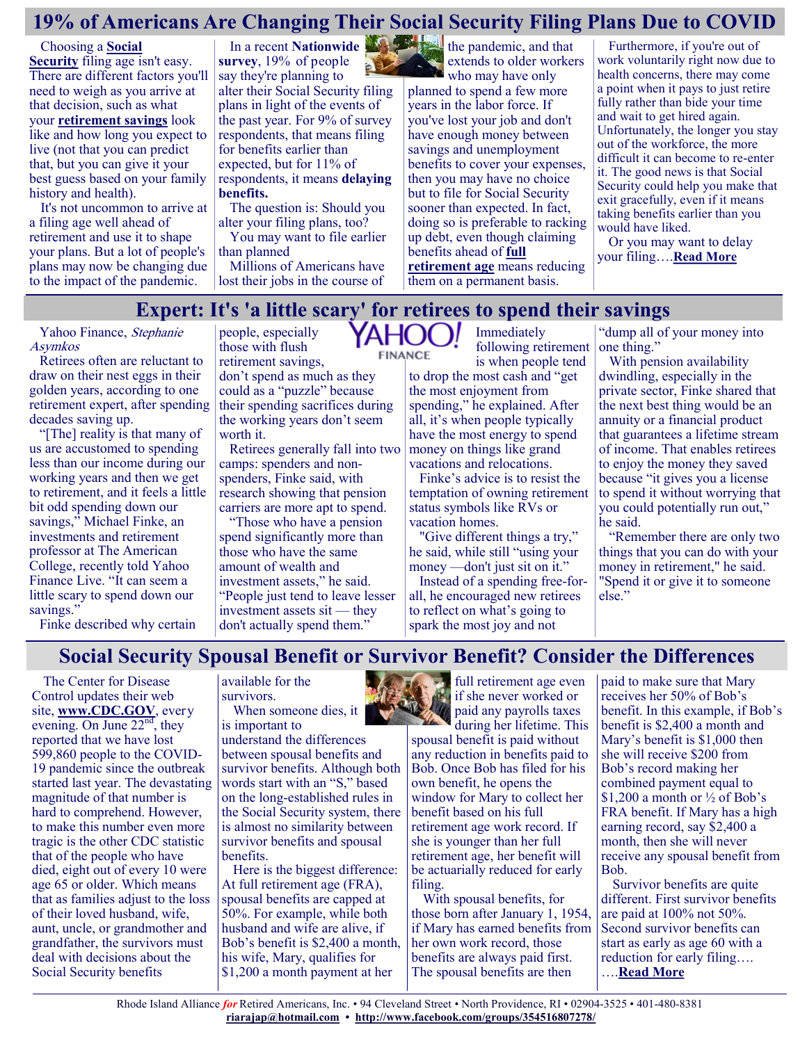# **19% of Americans Are Changing Their Social Security Filing Plans Due to COVID**

Choosing a **[Social](https://www.fool.com/retirement/social-security/?utm_source=msnrss&utm_medium=feed&utm_campaign=article&referring_guid=a96f6e43-23c1-40d6-91b2-a24b2097a6b8)  [Security](https://www.fool.com/retirement/social-security/?utm_source=msnrss&utm_medium=feed&utm_campaign=article&referring_guid=a96f6e43-23c1-40d6-91b2-a24b2097a6b8)** filing age isn't easy. There are different factors you'll need to weigh as you arrive at that decision, such as what your **[retirement savings](https://www.fool.com/retirement/2021/07/11/3-easy-ways-to-save-more-for-retirement-than-what/?utm_source=msnrss&utm_medium=feed&utm_campaign=article&referring_guid=a96f6e43-23c1-40d6-91b2-a24b2097a6b8)** look like and how long you expect to live (not that you can predict that, but you can give it your best guess based on your family history and health).

It's not uncommon to arrive at a filing age well ahead of retirement and use it to shape your plans. But a lot of people's plans may now be changing due to the impact of the pandemic.

**[survey](https://nationwidefinancial.com/media/pdf/NFM-20936AO.pdf)**, 19% of people say they're planning to alter their Social Security filing plans in light of the events of the past year. For 9% of survey respondents, that means filing for benefits earlier than expected, but for 11% of respondents, it means **[delaying](https://www.fool.com/retirement/2021/06/11/2-reasons-it-may-be-unrealistic-to-delay-social-se/?utm_source=msnrss&utm_medium=feed&utm_campaign=article&referring_guid=a96f6e43-23c1-40d6-91b2-a24b2097a6b8)  [benefits.](https://www.fool.com/retirement/2021/06/11/2-reasons-it-may-be-unrealistic-to-delay-social-se/?utm_source=msnrss&utm_medium=feed&utm_campaign=article&referring_guid=a96f6e43-23c1-40d6-91b2-a24b2097a6b8)**

The question is: Should you alter your filing plans, too?

You may want to file earlier than planned

Millions of Americans have lost their jobs in the course of

In a recent **[Nationwide](https://nationwidefinancial.com/media/pdf/NFM-20936AO.pdf)**  the pandemic, and that extends to older workers who may have only planned to spend a few more years in the labor force. If you've lost your job and don't have enough money between savings and unemployment benefits to cover your expenses, then you may have no choice but to file for Social Security sooner than expected. In fact, doing so is preferable to racking up debt, even though claiming benefits ahead of **[full](https://www.fool.com/retirement/2019/07/05/is-social-securitys-full-retirement-age-the-same-f.aspx?utm_source=msnrss&utm_medium=feed&utm_campaign=article&referring_guid=a96f6e43-23c1-40d6-91b2-a24b2097a6b8)  [retirement age](https://www.fool.com/retirement/2019/07/05/is-social-securitys-full-retirement-age-the-same-f.aspx?utm_source=msnrss&utm_medium=feed&utm_campaign=article&referring_guid=a96f6e43-23c1-40d6-91b2-a24b2097a6b8)** means reducing

Furthermore, if you're out of work voluntarily right now due to health concerns, there may come a point when it pays to just retire fully rather than bide your time and wait to get hired again. Unfortunately, the longer you stay out of the workforce, the more difficult it can become to re-enter it. The good news is that Social Security could help you make that exit gracefully, even if it means taking benefits earlier than you would have liked.

Or you may want to delay your filing….**[Read More](https://www.msn.com/en-us/money/retirement/19-of-americans-are-changing-their-social-security-filing-plans-due-to-covid/ar-AAMb8H2?ocid=SK2DDHP)**

### **Expert: It's 'a little scary' for retirees to spend their savings**

**FINANCE** 

Yahoo Finance, Stephanie Asymkos

Retirees often are reluctant to draw on their nest eggs in their golden years, according to one retirement expert, after spending decades saving up.

"[The] reality is that many of us are accustomed to spending less than our income during our working years and then we get to retirement, and it feels a little bit odd spending down our savings," Michael Finke, an investments and retirement professor at The American College, recently told Yahoo Finance Live. "It can seem a little scary to spend down our savings."

people, especially **YAHOO!** those with flush retirement savings, don't spend as much as they could as a "puzzle" because their spending sacrifices during the working years don't seem

worth it. Retirees generally fall into two camps: spenders and nonspenders, Finke said, with research showing that pension carriers are more apt to spend.

"Those who have a pension spend significantly more than those who have the same amount of wealth and investment assets," he said. "People just tend to leave lesser investment assets sit — they don't actually spend them."

Immediately following retirement is when people tend

them on a permanent basis.

to drop the most cash and "get the most enjoyment from spending," he explained. After all, it's when people typically have the most energy to spend money on things like grand vacations and relocations.

Finke's advice is to resist the temptation of owning retirement status symbols like RVs or vacation homes.

"Give different things a try," he said, while still "using your money —don't just sit on it."

Instead of a spending free-forall, he encouraged new retirees to reflect on what's going to spark the most joy and not

"dump all of your money into one thing."

With pension availability dwindling, especially in the private sector, Finke shared that the next best thing would be an annuity or a financial product that guarantees a lifetime stream of income. That enables retirees to enjoy the money they saved because "it gives you a license to spend it without worrying that you could potentially run out," he said.

"Remember there are only two things that you can do with your money in retirement," he said. "Spend it or give it to someone else."

Finke described why certain

### **Social Security Spousal Benefit or Survivor Benefit? Consider the Differences**

The Center for Disease Control updates their web site, **[www.CDC.GOV](http://www.cdc.gov/)**, every evening. On June  $22<sup>nd</sup>$ , they reported that we have lost 599,860 people to the COVID-19 pandemic since the outbreak started last year. The devastating magnitude of that number is hard to comprehend. However, to make this number even more tragic is the other CDC statistic that of the people who have died, eight out of every 10 were age 65 or older. Which means that as families adjust to the loss of their loved husband, wife, aunt, uncle, or grandmother and grandfather, the survivors must deal with decisions about the Social Security benefits

available for the survivors.

When someone dies, it is important to

understand the differences between spousal benefits and survivor benefits. Although both words start with an "S," based on the long-established rules in the Social Security system, there is almost no similarity between survivor benefits and spousal benefits.

Here is the biggest difference: At full retirement age (FRA), spousal benefits are capped at 50%. For example, while both husband and wife are alive, if Bob's benefit is \$2,400 a month, his wife, Mary, qualifies for \$1,200 a month payment at her



during her lifetime. This spousal benefit is paid without any reduction in benefits paid to Bob. Once Bob has filed for his own benefit, he opens the window for Mary to collect her benefit based on his full retirement age work record. If she is younger than her full retirement age, her benefit will be actuarially reduced for early filing.

With spousal benefits, for those born after January 1, 1954, if Mary has earned benefits from her own work record, those benefits are always paid first. The spousal benefits are then

paid to make sure that Mary receives her 50% of Bob's benefit. In this example, if Bob's benefit is \$2,400 a month and Mary's benefit is \$1,000 then she will receive \$200 from Bob's record making her combined payment equal to \$1,200 a month or ½ of Bob's FRA benefit. If Mary has a high earning record, say \$2,400 a month, then she will never receive any spousal benefit from Bob.

Survivor benefits are quite different. First survivor benefits are paid at 100% not 50%. Second survivor benefits can start as early as age 60 with a reduction for early filing…. ….**[Read More](https://www.msn.com/en-us/money/retirement/social-security-spousal-benefit-or-survivor-benefit-consider-the-differences/ar-AAMbBbk?ocid=SK2DDHP)**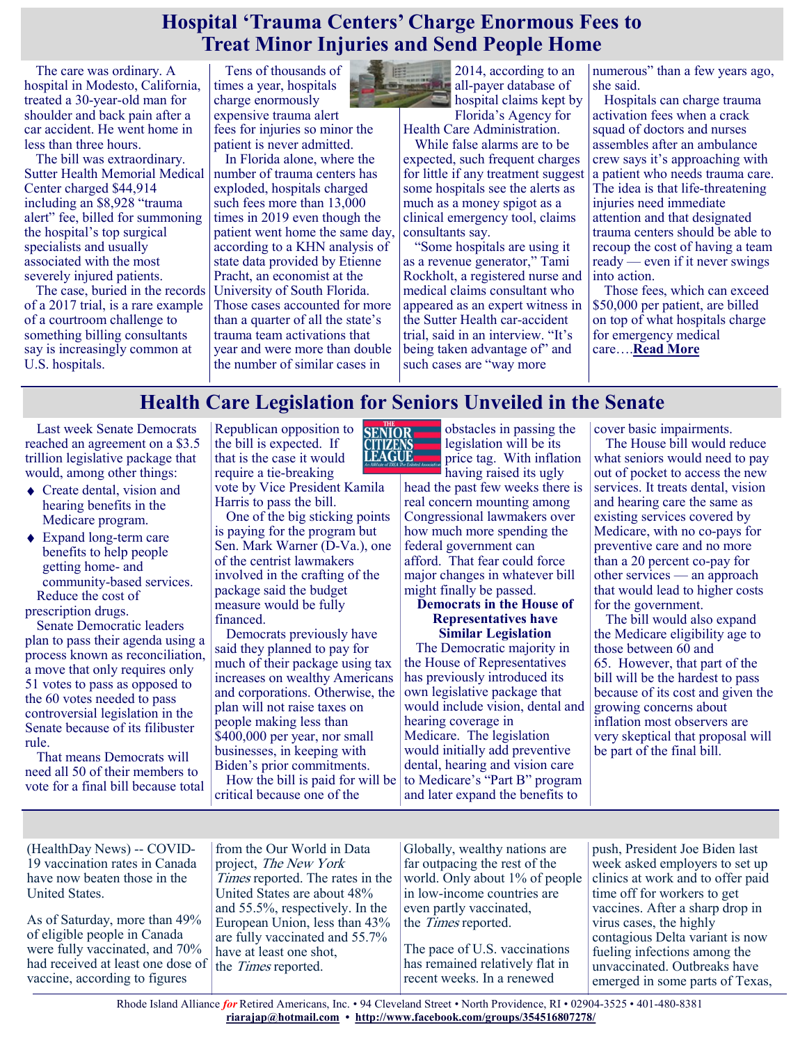### **Hospital 'Trauma Centers' Charge Enormous Fees to Treat Minor Injuries and Send People Home**

The care was ordinary. A hospital in Modesto, California, treated a 30-year-old man for shoulder and back pain after a car accident. He went home in less than three hours.

The bill was extraordinary. Sutter Health Memorial Medical Center charged \$44,914 including an \$8,928 "trauma alert" fee, billed for summoning the hospital's top surgical specialists and usually associated with the most severely injured patients.

The case, buried in the records of a 2017 trial, is a rare example of a courtroom challenge to something billing consultants say is increasingly common at U.S. hospitals.

Tens of thousands of times a year, hospitals charge enormously expensive trauma alert fees for injuries so minor the patient is never admitted.

In Florida alone, where the number of trauma centers has exploded, hospitals charged such fees more than 13,000 times in 2019 even though the patient went home the same day, according to a KHN analysis of state data provided by Etienne Pracht, an economist at the University of South Florida. Those cases accounted for more than a quarter of all the state's trauma team activations that year and were more than double the number of similar cases in



2014, according to an all-payer database of hospital claims kept by Florida's Agency for

Health Care Administration.

While false alarms are to be expected, such frequent charges for little if any treatment suggest some hospitals see the alerts as much as a money spigot as a clinical emergency tool, claims consultants say.

"Some hospitals are using it as a revenue generator," Tami Rockholt, a registered nurse and medical claims consultant who appeared as an expert witness in the Sutter Health car-accident trial, said in an interview. "It's being taken advantage of" and such cases are "way more

numerous" than a few years ago, she said.

Hospitals can charge trauma activation fees when a crack squad of doctors and nurses assembles after an ambulance crew says it's approaching with a patient who needs trauma care. The idea is that life-threatening injuries need immediate attention and that designated trauma centers should be able to recoup the cost of having a team ready — even if it never swings into action.

Those fees, which can exceed \$50,000 per patient, are billed on top of what hospitals charge for emergency medical care….**[Read More](https://khn.org/news/article/hospital-trauma-centers-charge-enormous-fees-to-treat-minor-injuries-and-send-people-home/)**

# **Health Care Legislation for Seniors Unveiled in the Senate**

Last week Senate Democrats reached an agreement on a \$3.5 trillion legislative package that would, among other things:

- ◆ Create dental, vision and hearing benefits in the Medicare program.
- ◆ Expand long-term care benefits to help people getting home- and community-based services. Reduce the cost of prescription drugs.

Senate Democratic leaders plan to pass their agenda using a process known as reconciliation, a move that only requires only 51 votes to pass as opposed to the 60 votes needed to pass controversial legislation in the Senate because of its filibuster rule.

That means Democrats will need all 50 of their members to vote for a final bill because total

Republican opposition to the bill is expected. If that is the case it would require a tie-breaking vote by Vice President Kamila Harris to pass the bill.

One of the big sticking points is paying for the program but Sen. Mark Warner (D-Va.), one of the centrist lawmakers involved in the crafting of the package said the budget measure would be fully financed.

Democrats previously have said they planned to pay for much of their package using tax increases on wealthy Americans and corporations. Otherwise, the plan will not raise taxes on people making less than \$400,000 per year, nor small businesses, in keeping with Biden's prior commitments. How the bill is paid for will be

critical because one of the



obstacles in passing the legislation will be its price tag. With inflation

having raised its ugly head the past few weeks there is real concern mounting among Congressional lawmakers over how much more spending the federal government can afford. That fear could force major changes in whatever bill might finally be passed.

### **Democrats in the House of Representatives have Similar Legislation**

The Democratic majority in the House of Representatives has previously introduced its own legislative package that would include vision, dental and hearing coverage in Medicare. The legislation would initially add preventive dental, hearing and vision care to Medicare's "Part B" program and later expand the benefits to

cover basic impairments.

The House bill would reduce what seniors would need to pay out of pocket to access the new services. It treats dental, vision and hearing care the same as existing services covered by Medicare, with no co-pays for preventive care and no more than a 20 percent co-pay for other services — an approach that would lead to higher costs for the government.

The bill would also expand the Medicare eligibility age to those between 60 and 65. However, that part of the bill will be the hardest to pass because of its cost and given the growing concerns about inflation most observers are very skeptical that proposal will be part of the final bill.

(HealthDay News) -- COVID-19 vaccination rates in Canada have now beaten those in the United States.

As of Saturday, more than 49% of eligible people in Canada were fully vaccinated, and 70% had received at least one dose of the *Times* reported. vaccine, according to figures

from the Our World in Data project, The New York Times reported. The rates in the United States are about 48% and 55.5%, respectively. In the European Union, less than 43% are fully vaccinated and 55.7% have at least one shot,

Globally, wealthy nations are far outpacing the rest of the world. Only about 1% of people in low-income countries are even partly vaccinated, the Times reported.

The pace of U.S. vaccinations has remained relatively flat in recent weeks. In a renewed

push, President Joe Biden last week asked employers to set up clinics at work and to offer paid time off for workers to get vaccines. After a sharp drop in virus cases, the highly contagious Delta variant is now fueling infections among the unvaccinated. Outbreaks have emerged in some parts of Texas,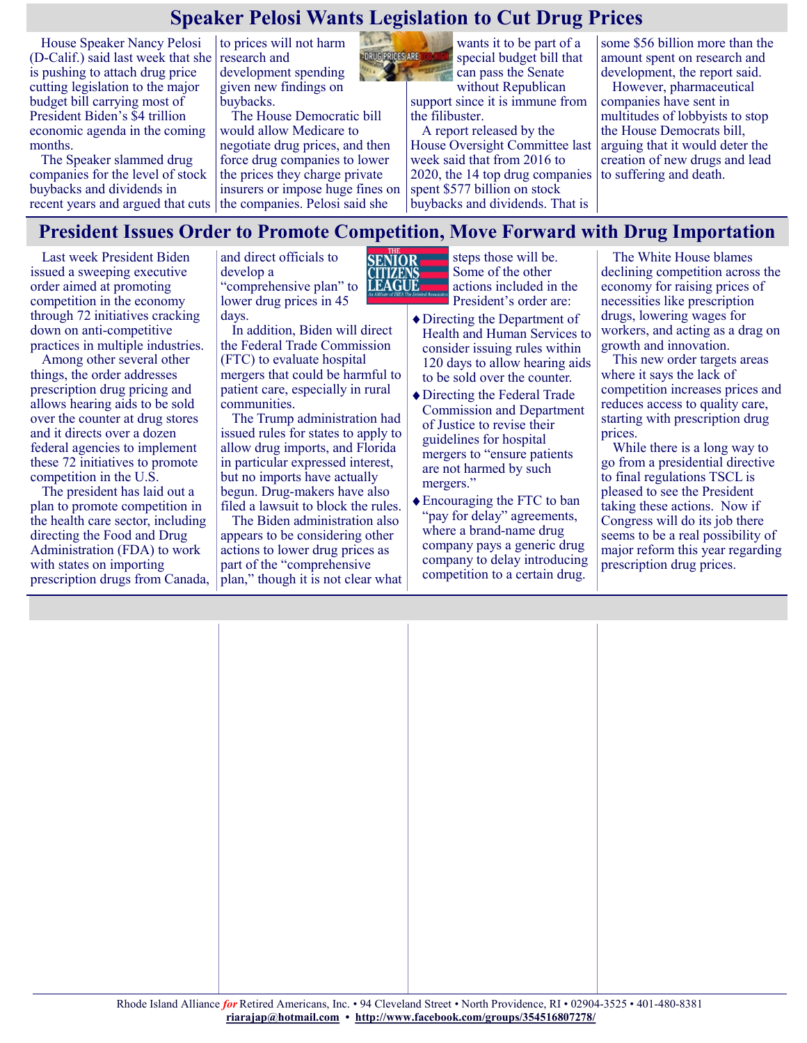# **Speaker Pelosi Wants Legislation to Cut Drug Prices**

House Speaker Nancy Pelosi (D-Calif.) said last week that she research and is pushing to attach drug price cutting legislation to the major budget bill carrying most of President Biden's \$4 trillion economic agenda in the coming months.

The Speaker slammed drug companies for the level of stock buybacks and dividends in

to prices will not harm development spending given new findings on buybacks.

recent years and argued that cuts the companies. Pelosi said she The House Democratic bill would allow Medicare to negotiate drug prices, and then force drug companies to lower the prices they charge private insurers or impose huge fines on



wants it to be part of a special budget bill that can pass the Senate without Republican

support since it is immune from the filibuster.

A report released by the House Oversight Committee last week said that from 2016 to 2020, the 14 top drug companies spent \$577 billion on stock buybacks and dividends. That is

some \$56 billion more than the amount spent on research and development, the report said. However, pharmaceutical companies have sent in multitudes of lobbyists to stop the House Democrats bill, arguing that it would deter the creation of new drugs and lead to suffering and death.

### **President Issues Order to Promote Competition, Move Forward with Drug Importation**

**CITIZENS**<br>LEAGUE

Last week President Biden issued a sweeping executive order aimed at promoting competition in the economy through 72 initiatives cracking down on anti-competitive practices in multiple industries.

Among other several other things, the order addresses prescription drug pricing and allows hearing aids to be sold over the counter at drug stores and it directs over a dozen federal agencies to implement these 72 initiatives to promote competition in the U.S.

The president has laid out a plan to promote competition in the health care sector, including directing the Food and Drug Administration (FDA) to work with states on importing prescription drugs from Canada,

and direct officials to develop a "comprehensive plan" to lower drug prices in 45 days.

In addition, Biden will direct the Federal Trade Commission (FTC) to evaluate hospital mergers that could be harmful to patient care, especially in rural communities.

The Trump administration had issued rules for states to apply to allow drug imports, and Florida in particular expressed interest, but no imports have actually begun. Drug-makers have also filed a lawsuit to block the rules.

The Biden administration also appears to be considering other actions to lower drug prices as part of the "comprehensive plan," though it is not clear what

**SENTOR** steps those will be. Some of the other actions included in the President's order are:

- Directing the Department of Health and Human Services to consider issuing rules within 120 days to allow hearing aids to be sold over the counter.
- ◆ Directing the Federal Trade Commission and Department of Justice to revise their guidelines for hospital mergers to "ensure patients are not harmed by such mergers."
- Encouraging the FTC to ban "pay for delay" agreements, where a brand-name drug company pays a generic drug company to delay introducing competition to a certain drug.

The White House blames declining competition across the economy for raising prices of necessities like prescription drugs, lowering wages for workers, and acting as a drag on growth and innovation.

This new order targets areas where it says the lack of competition increases prices and reduces access to quality care, starting with prescription drug prices.

While there is a long way to go from a presidential directive to final regulations TSCL is pleased to see the President taking these actions. Now if Congress will do its job there seems to be a real possibility of major reform this year regarding prescription drug prices.

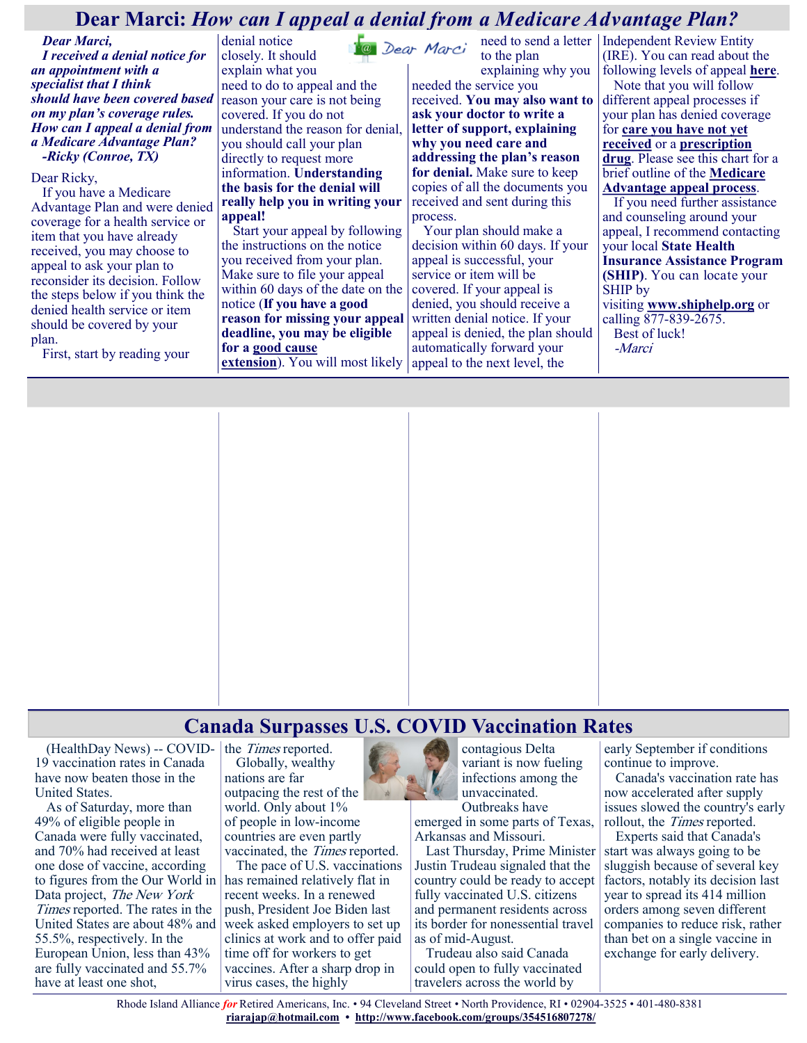### **Dear Marci:** *How can I appeal a denial from a Medicare Advantage Plan?*

*Dear Marci, I received a denial notice for an appointment with a specialist that I think should have been covered based on my plan's coverage rules. How can I appeal a denial from a Medicare Advantage Plan? -Ricky (Conroe, TX)*

Dear Ricky,

If you have a Medicare Advantage Plan and were denied coverage for a health service or item that you have already received, you may choose to appeal to ask your plan to reconsider its decision. Follow the steps below if you think the denied health service or item should be covered by your plan.

First, start by reading your

denial notice closely. It should explain what you need to do to appeal and the reason your care is not being covered. If you do not understand the reason for denial, you should call your plan directly to request more information. **Understanding the basis for the denial will really help you in writing your appeal!**

Start your appeal by following the instructions on the notice you received from your plan. Make sure to file your appeal within 60 days of the date on the notice (**If you have a good reason for missing your appeal deadline, you may be eligible for a [good cause](https://medicarerights.us15.list-manage.com/track/click?u=1621f54a596f3717c22815356&id=314e7d6010&e=88d22ba1fe)  [extension](https://medicarerights.us15.list-manage.com/track/click?u=1621f54a596f3717c22815356&id=314e7d6010&e=88d22ba1fe)**). You will most likely

need to send a letter Independent Review Entity to the plan explaining why you needed the service you received. **You may also want to ask your doctor to write a letter of support, explaining why you need care and addressing the plan's reason for denial.** Make sure to keep copies of all the documents you received and sent during this process.

Your plan should make a decision within 60 days. If your appeal is successful, your service or item will be covered. If your appeal is denied, you should receive a written denial notice. If your appeal is denied, the plan should automatically forward your appeal to the next level, the

(IRE). You can read about the following levels of appeal **[here](https://medicarerights.us15.list-manage.com/track/click?u=1621f54a596f3717c22815356&id=8517404610&e=88d22ba1fe)**. Note that you will follow different appeal processes if your plan has denied coverage for **[care you have not yet](https://medicarerights.us15.list-manage.com/track/click?u=1621f54a596f3717c22815356&id=cc636683de&e=88d22ba1fe)  [received](https://medicarerights.us15.list-manage.com/track/click?u=1621f54a596f3717c22815356&id=cc636683de&e=88d22ba1fe)** or a **[prescription](https://medicarerights.us15.list-manage.com/track/click?u=1621f54a596f3717c22815356&id=76a756f16b&e=88d22ba1fe)  [drug](https://medicarerights.us15.list-manage.com/track/click?u=1621f54a596f3717c22815356&id=76a756f16b&e=88d22ba1fe)**. Please see this chart for a brief outline of the **[Medicare](https://medicarerights.us15.list-manage.com/track/click?u=1621f54a596f3717c22815356&id=ab34e7c399&e=88d22ba1fe)  [Advantage appeal process](https://medicarerights.us15.list-manage.com/track/click?u=1621f54a596f3717c22815356&id=ab34e7c399&e=88d22ba1fe)**. If you need further assistance and counseling around your

appeal, I recommend contacting your local **State Health Insurance Assistance Program (SHIP)**. You can locate your SHIP by visiting **[www.shiphelp.org](https://medicarerights.us15.list-manage.com/track/click?u=1621f54a596f3717c22815356&id=1526882ba2&e=88d22ba1fe)** or calling 877-839-2675. Best of luck! -Marci



### **Canada Surpasses U.S. COVID Vaccination Rates**

(HealthDay News) -- COVID-19 vaccination rates in Canada have now beaten those in the United States.

As of Saturday, more than 49% of eligible people in Canada were fully vaccinated, and 70% had received at least one dose of vaccine, according to figures from the Our World in Data project, The New York Times reported. The rates in the United States are about 48% and 55.5%, respectively. In the European Union, less than 43% are fully vaccinated and 55.7% have at least one shot,

the Times reported. Globally, wealthy nations are far outpacing the rest of the world. Only about 1% of people in low-income countries are even partly

vaccinated, the *Times* reported. The pace of U.S. vaccinations has remained relatively flat in recent weeks. In a renewed push, President Joe Biden last week asked employers to set up clinics at work and to offer paid time off for workers to get vaccines. After a sharp drop in virus cases, the highly



contagious Delta variant is now fueling infections among the unvaccinated. Outbreaks have

emerged in some parts of Texas, Arkansas and Missouri.

Last Thursday, Prime Minister Justin Trudeau signaled that the country could be ready to accept fully vaccinated U.S. citizens and permanent residents across its border for nonessential travel as of mid-August.

Trudeau also said Canada could open to fully vaccinated travelers across the world by

early September if conditions continue to improve.

Canada's vaccination rate has now accelerated after supply issues slowed the country's early rollout, the *Times* reported.

Experts said that Canada's start was always going to be sluggish because of several key factors, notably its decision last year to spread its 414 million orders among seven different companies to reduce risk, rather than bet on a single vaccine in exchange for early delivery.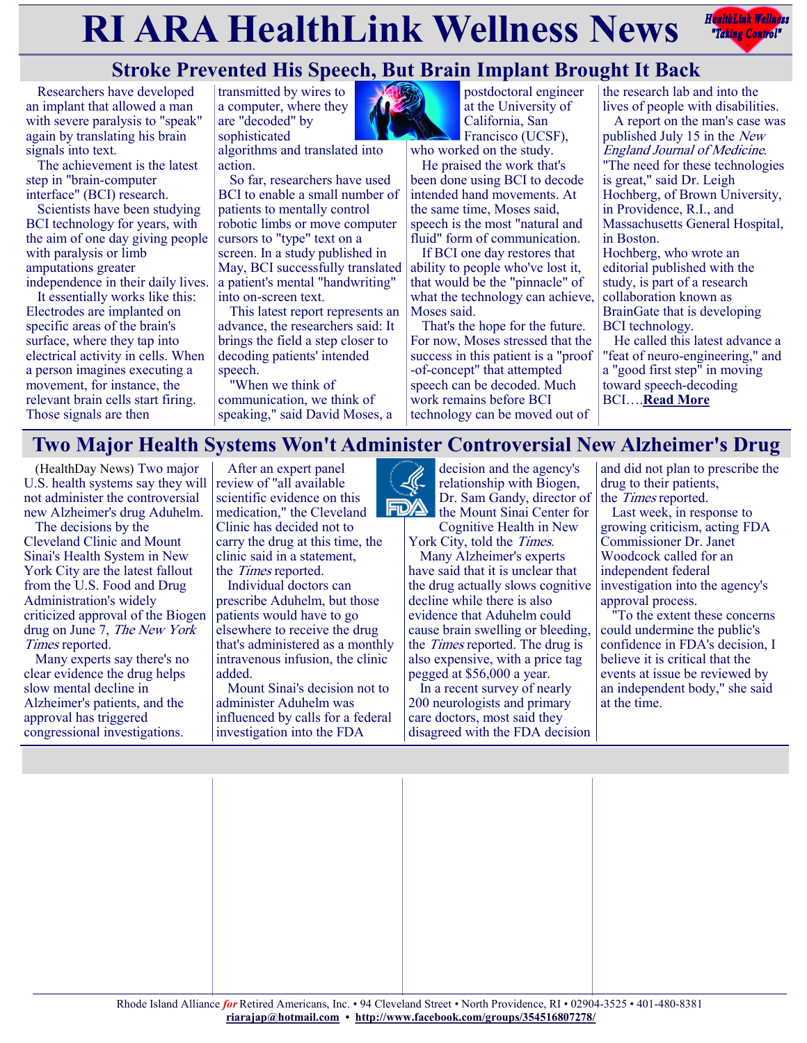# **RIARA HealthLink Wellness News** *<b>Redistribles Redistribles*



# **Stroke Prevented His Speech, But Brain Implant Brought It Back**

Researchers have developed an implant that allowed a man with severe paralysis to "speak" again by translating his brain signals into text.

The achievement is the latest step in "brain-computer interface" (BCI) research.

Scientists have been studying BCI technology for years, with the aim of one day giving people with paralysis or limb amputations greater independence in their daily lives.

It essentially works like this: Electrodes are implanted on specific areas of the brain's surface, where they tap into electrical activity in cells. When a person imagines executing a movement, for instance, the relevant brain cells start firing. Those signals are then



algorithms and translated into action.

So far, researchers have used BCI to enable a small number of patients to mentally control robotic limbs or move computer cursors to "type" text on a screen. In a study published in May, BCI successfully translated a patient's mental "handwriting" into on-screen text.

This latest report represents an advance, the researchers said: It brings the field a step closer to decoding patients' intended speech.

"When we think of communication, we think of speaking," said David Moses, a



postdoctoral engineer at the University of California, San Francisco (UCSF),

who worked on the study. He praised the work that's been done using BCI to decode intended hand movements. At the same time, Moses said, speech is the most "natural and fluid" form of communication.

If BCI one day restores that ability to people who've lost it, that would be the "pinnacle" of what the technology can achieve, Moses said.

That's the hope for the future. For now, Moses stressed that the success in this patient is a "proof -of-concept" that attempted speech can be decoded. Much work remains before BCI technology can be moved out of

the research lab and into the lives of people with disabilities.

A report on the man's case was published July 15 in the New England Journal of Medicine. "The need for these technologies is great," said Dr. Leigh Hochberg, of Brown University, in Providence, R.I., and Massachusetts General Hospital, in Boston.

Hochberg, who wrote an editorial published with the study, is part of a research collaboration known as BrainGate that is developing BCI technology.

He called this latest advance a "feat of neuro-engineering," and a "good first step" in moving toward speech-decoding BCI….**[Read More](https://consumer.healthday.com/7-15-stroke-prevented-his-speech-but-brain-implant-brought-it-back-2653729375.html)**

# **Two Major Health Systems Won't Administer Controversial New Alzheimer's Drug**

(HealthDay News) Two major U.S. health systems say they will not administer the controversial new Alzheimer's drug Aduhelm.

The decisions by the Cleveland Clinic and Mount Sinai's Health System in New York City are the latest fallout from the U.S. Food and Drug Administration's widely criticized approval of the Biogen drug on June 7, The New York Times reported.

Many experts say there's no clear evidence the drug helps slow mental decline in Alzheimer's patients, and the approval has triggered congressional investigations.

After an expert panel review of "all available scientific evidence on this medication," the Cleveland Clinic has decided not to carry the drug at this time, the clinic said in a statement, the Times reported.

Individual doctors can prescribe Aduhelm, but those patients would have to go elsewhere to receive the drug that's administered as a monthly intravenous infusion, the clinic added.

Mount Sinai's decision not to administer Aduhelm was influenced by calls for a federal investigation into the FDA



decision and the agency's relationship with Biogen, Dr. Sam Gandy, director of the Mount Sinai Center for

Cognitive Health in New York City, told the Times.

Many Alzheimer's experts have said that it is unclear that the drug actually slows cognitive decline while there is also evidence that Aduhelm could cause brain swelling or bleeding, the Times reported. The drug is also expensive, with a price tag pegged at \$56,000 a year.

In a recent survey of nearly 200 neurologists and primary care doctors, most said they disagreed with the FDA decision

and did not plan to prescribe the drug to their patients, the Times reported.

Last week, in response to growing criticism, acting FDA Commissioner Dr. Janet Woodcock called for an independent federal investigation into the agency's approval process.

"To the extent these concerns could undermine the public's confidence in FDA's decision, I believe it is critical that the events at issue be reviewed by an independent body," she said at the time.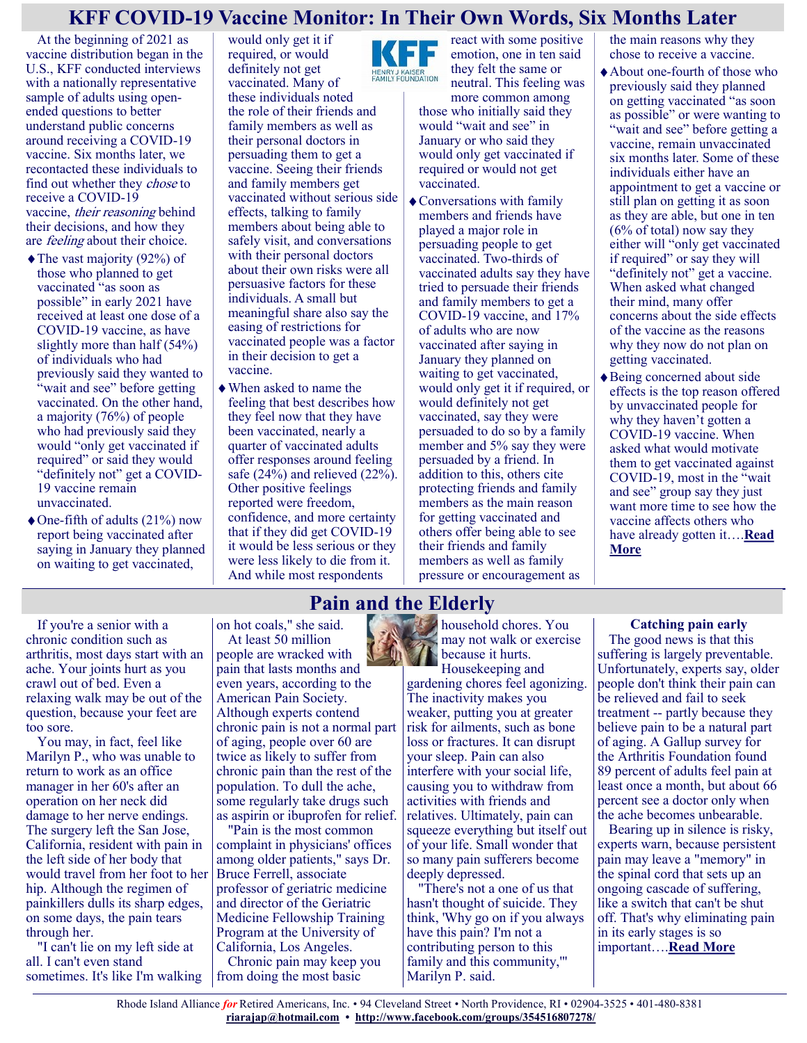### **KFF COVID-19 Vaccine Monitor: In Their Own Words, Six Months Later**

At the beginning of 2021 as vaccine distribution began in the U.S., KFF conducted interviews with a nationally representative sample of adults using openended questions to better understand public concerns around receiving a COVID-19 vaccine. Six months later, we recontacted these individuals to find out whether they chose to receive a COVID-19 vaccine, their reasoning behind their decisions, and how they are *feeling* about their choice.

- The vast majority (92%) of those who planned to get vaccinated "as soon as possible" in early 2021 have received at least one dose of a COVID-19 vaccine, as have slightly more than half (54%) of individuals who had previously said they wanted to "wait and see" before getting vaccinated. On the other hand, a majority (76%) of people who had previously said they would "only get vaccinated if required" or said they would "definitely not" get a COVID-19 vaccine remain unvaccinated.
- One-fifth of adults (21%) now report being vaccinated after saying in January they planned on waiting to get vaccinated,

would only get it if required, or would definitely not get vaccinated. Many of these individuals noted the role of their friends and family members as well as their personal doctors in persuading them to get a vaccine. Seeing their friends and family members get vaccinated without serious side effects, talking to family members about being able to safely visit, and conversations with their personal doctors about their own risks were all persuasive factors for these individuals. A small but meaningful share also say the easing of restrictions for vaccinated people was a factor in their decision to get a vaccine.

When asked to name the feeling that best describes how they feel now that they have been vaccinated, nearly a quarter of vaccinated adults offer responses around feeling safe (24%) and relieved (22%). Other positive feelings reported were freedom, confidence, and more certainty that if they did get COVID-19 it would be less serious or they were less likely to die from it. And while most respondents

Е HENRY J KAISER<br>FAMILY FOUNDATION

neutral. This feeling was more common among those who initially said they would "wait and see" in January or who said they would only get vaccinated if required or would not get vaccinated.

react with some positive emotion, one in ten said they felt the same or

Conversations with family members and friends have played a major role in persuading people to get vaccinated. Two-thirds of vaccinated adults say they have tried to persuade their friends and family members to get a COVID-19 vaccine, and 17% of adults who are now vaccinated after saying in January they planned on waiting to get vaccinated, would only get it if required, or would definitely not get vaccinated, say they were persuaded to do so by a family member and 5% say they were persuaded by a friend. In addition to this, others cite protecting friends and family members as the main reason for getting vaccinated and others offer being able to see their friends and family members as well as family pressure or encouragement as

the main reasons why they chose to receive a vaccine.

About one-fourth of those who previously said they planned on getting vaccinated "as soon as possible" or were wanting to "wait and see" before getting a vaccine, remain unvaccinated six months later. Some of these individuals either have an appointment to get a vaccine or still plan on getting it as soon as they are able, but one in ten (6% of total) now say they either will "only get vaccinated if required" or say they will

"definitely not" get a vaccine. When asked what changed their mind, many offer concerns about the side effects of the vaccine as the reasons why they now do not plan on getting vaccinated.

Being concerned about side effects is the top reason offered by unvaccinated people for why they haven't gotten a COVID-19 vaccine. When asked what would motivate them to get vaccinated against COVID-19, most in the "wait and see" group say they just want more time to see how the vaccine affects others who have already gotten it….**[Read](https://www.kff.org/coronavirus-covid-19/poll-finding/kff-covid-19-vaccine-monitor-in-their-own-words-six-months-later/)  [More](https://www.kff.org/coronavirus-covid-19/poll-finding/kff-covid-19-vaccine-monitor-in-their-own-words-six-months-later/)**

# **Pain and the Elderly**

If you're a senior with a chronic condition such as arthritis, most days start with an ache. Your joints hurt as you crawl out of bed. Even a relaxing walk may be out of the question, because your feet are too sore.

You may, in fact, feel like Marilyn P., who was unable to return to work as an office manager in her 60's after an operation on her neck did damage to her nerve endings. The surgery left the San Jose, California, resident with pain in the left side of her body that would travel from her foot to her hip. Although the regimen of painkillers dulls its sharp edges, on some days, the pain tears through her.

"I can't lie on my left side at all. I can't even stand sometimes. It's like I'm walking

on hot coals," she said. At least 50 million people are wracked with pain that lasts months and even years, according to the American Pain Society. Although experts contend chronic pain is not a normal part of aging, people over 60 are twice as likely to suffer from chronic pain than the rest of the population. To dull the ache, some regularly take drugs such as aspirin or ibuprofen for relief.

"Pain is the most common complaint in physicians' offices among older patients," says Dr. Bruce Ferrell, associate professor of geriatric medicine and director of the Geriatric Medicine Fellowship Training Program at the University of California, Los Angeles. Chronic pain may keep you

from doing the most basic

household chores. You may not walk or exercise because it hurts.

Housekeeping and gardening chores feel agonizing. The inactivity makes you weaker, putting you at greater risk for ailments, such as bone loss or fractures. It can disrupt your sleep. Pain can also interfere with your social life, causing you to withdraw from activities with friends and relatives. Ultimately, pain can squeeze everything but itself out of your life. Small wonder that so many pain sufferers become deeply depressed.

"There's not a one of us that hasn't thought of suicide. They think, 'Why go on if you always have this pain? I'm not a contributing person to this family and this community,'" Marilyn P. said.

### **Catching pain early**

The good news is that this suffering is largely preventable. Unfortunately, experts say, older people don't think their pain can be relieved and fail to seek treatment -- partly because they believe pain to be a natural part of aging. A Gallup survey for the Arthritis Foundation found 89 percent of adults feel pain at least once a month, but about 66 percent see a doctor only when the ache becomes unbearable.

Bearing up in silence is risky, experts warn, because persistent pain may leave a "memory" in the spinal cord that sets up an ongoing cascade of suffering, like a switch that can't be shut off. That's why eliminating pain in its early stages is so important….**[Read More](https://consumer.healthday.com/encyclopedia/aging-1/misc-aging-news-10/pain-and-the-elderly-647443.html)**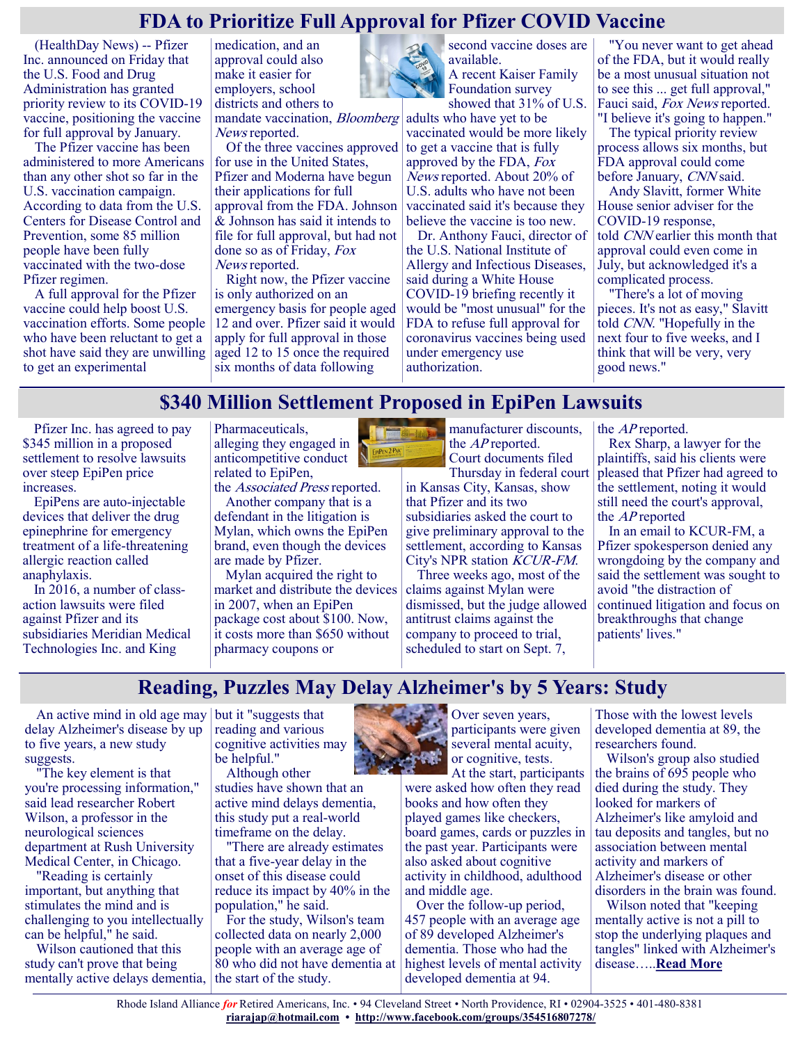### **FDA to Prioritize Full Approval for Pfizer COVID Vaccine**

(HealthDay News) -- Pfizer Inc. announced on Friday that the U.S. Food and Drug Administration has granted priority review to its COVID-19 vaccine, positioning the vaccine for full approval by January.

The Pfizer vaccine has been administered to more Americans than any other shot so far in the U.S. vaccination campaign. According to data from the U.S. Centers for Disease Control and Prevention, some 85 million people have been fully vaccinated with the two-dose Pfizer regimen.

A full approval for the Pfizer vaccine could help boost U.S. vaccination efforts. Some people who have been reluctant to get a shot have said they are unwilling to get an experimental

medication, and an approval could also make it easier for employers, school districts and others to

mandate vaccination, Bloomberg News reported.

Of the three vaccines approved for use in the United States, Pfizer and Moderna have begun their applications for full approval from the FDA. Johnson & Johnson has said it intends to file for full approval, but had not done so as of Friday, Fox News reported.

Right now, the Pfizer vaccine is only authorized on an emergency basis for people aged 12 and over. Pfizer said it would apply for full approval in those aged 12 to 15 once the required six months of data following



second vaccine doses are available. A recent Kaiser Family Foundation survey showed that 31% of U.S.

adults who have yet to be vaccinated would be more likely to get a vaccine that is fully approved by the FDA, Fox News reported. About 20% of U.S. adults who have not been vaccinated said it's because they believe the vaccine is too new.

Dr. Anthony Fauci, director of the U.S. National Institute of Allergy and Infectious Diseases, said during a White House COVID-19 briefing recently it would be "most unusual" for the FDA to refuse full approval for coronavirus vaccines being used under emergency use authorization.

"You never want to get ahead of the FDA, but it would really be a most unusual situation not to see this ... get full approval," Fauci said, Fox News reported. "I believe it's going to happen."

The typical priority review process allows six months, but FDA approval could come before January, CNN said.

Andy Slavitt, former White House senior adviser for the COVID-19 response, told CNN earlier this month that approval could even come in July, but acknowledged it's a complicated process.

"There's a lot of moving pieces. It's not as easy," Slavitt told CNN. "Hopefully in the next four to five weeks, and I think that will be very, very good news."

## **\$340 Million Settlement Proposed in EpiPen Lawsuits**

Pfizer Inc. has agreed to pay \$345 million in a proposed settlement to resolve lawsuits over steep EpiPen price increases.

EpiPens are auto-injectable devices that deliver the drug epinephrine for emergency treatment of a life-threatening allergic reaction called anaphylaxis.

In 2016, a number of classaction lawsuits were filed against Pfizer and its subsidiaries Meridian Medical Technologies Inc. and King

Pharmaceuticals, alleging they engaged in anticompetitive conduct related to EpiPen,

the Associated Press reported.

Another company that is a defendant in the litigation is Mylan, which owns the EpiPen brand, even though the devices are made by Pfizer.

Mylan acquired the right to market and distribute the devices in 2007, when an EpiPen package cost about \$100. Now, it costs more than \$650 without pharmacy coupons or



in Kansas City, Kansas, show that Pfizer and its two subsidiaries asked the court to give preliminary approval to the settlement, according to Kansas City's NPR station KCUR-FM.

Three weeks ago, most of the claims against Mylan were dismissed, but the judge allowed antitrust claims against the company to proceed to trial, scheduled to start on Sept. 7,

the AP reported.

Rex Sharp, a lawyer for the plaintiffs, said his clients were pleased that Pfizer had agreed to the settlement, noting it would still need the court's approval, the AP reported

In an email to KCUR-FM, a Pfizer spokesperson denied any wrongdoing by the company and said the settlement was sought to avoid "the distraction of continued litigation and focus on breakthroughs that change patients' lives."

### **Reading, Puzzles May Delay Alzheimer's by 5 Years: Study**

An active mind in old age may but it "suggests that delay Alzheimer's disease by up to five years, a new study suggests.

"The key element is that you're processing information," said lead researcher Robert Wilson, a professor in the neurological sciences department at Rush University Medical Center, in Chicago.

"Reading is certainly important, but anything that stimulates the mind and is challenging to you intellectually can be helpful," he said.

Wilson cautioned that this study can't prove that being mentally active delays dementia,

reading and various cognitive activities may be helpful."

Although other studies have shown that an active mind delays dementia, this study put a real-world timeframe on the delay.

"There are already estimates that a five-year delay in the onset of this disease could reduce its impact by 40% in the population," he said.

For the study, Wilson's team collected data on nearly 2,000 people with an average age of 80 who did not have dementia at the start of the study.



Over seven years, participants were given several mental acuity, or cognitive, tests.

At the start, participants were asked how often they read books and how often they played games like checkers, board games, cards or puzzles in the past year. Participants were also asked about cognitive activity in childhood, adulthood and middle age.

Over the follow-up period, 457 people with an average age of 89 developed Alzheimer's dementia. Those who had the highest levels of mental activity developed dementia at 94.

Those with the lowest levels developed dementia at 89, the researchers found.

Wilson's group also studied the brains of 695 people who died during the study. They looked for markers of Alzheimer's like amyloid and tau deposits and tangles, but no association between mental activity and markers of Alzheimer's disease or other disorders in the brain was found.

Wilson noted that "keeping mentally active is not a pill to stop the underlying plaques and tangles" linked with Alzheimer's disease…..**[Read More](https://www.usnews.com/news/health-news/articles/2021-07-15/reading-puzzles-may-delay-alzheimers-by-5-years-study)**